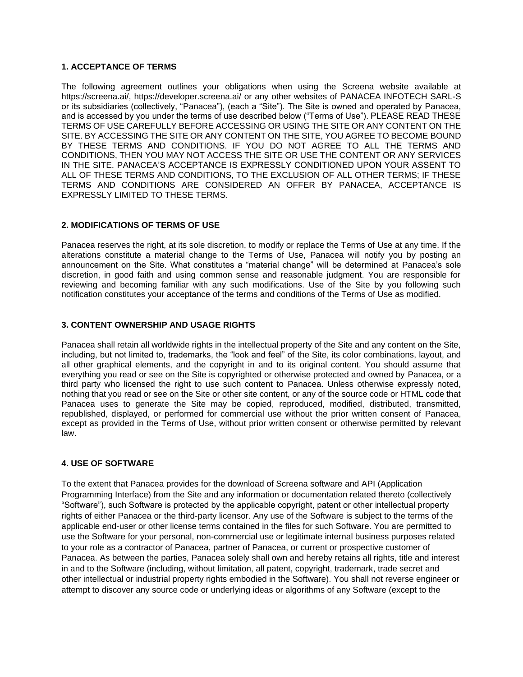# **1. ACCEPTANCE OF TERMS**

The following agreement outlines your obligations when using the Screena website available at https://screena.ai/, https://developer.screena.ai/ or any other websites of PANACEA INFOTECH SARL-S or its subsidiaries (collectively, "Panacea"), (each a "Site"). The Site is owned and operated by Panacea, and is accessed by you under the terms of use described below ("Terms of Use"). PLEASE READ THESE TERMS OF USE CAREFULLY BEFORE ACCESSING OR USING THE SITE OR ANY CONTENT ON THE SITE. BY ACCESSING THE SITE OR ANY CONTENT ON THE SITE, YOU AGREE TO BECOME BOUND BY THESE TERMS AND CONDITIONS. IF YOU DO NOT AGREE TO ALL THE TERMS AND CONDITIONS, THEN YOU MAY NOT ACCESS THE SITE OR USE THE CONTENT OR ANY SERVICES IN THE SITE. PANACEA'S ACCEPTANCE IS EXPRESSLY CONDITIONED UPON YOUR ASSENT TO ALL OF THESE TERMS AND CONDITIONS, TO THE EXCLUSION OF ALL OTHER TERMS; IF THESE TERMS AND CONDITIONS ARE CONSIDERED AN OFFER BY PANACEA, ACCEPTANCE IS EXPRESSLY LIMITED TO THESE TERMS.

## **2. MODIFICATIONS OF TERMS OF USE**

Panacea reserves the right, at its sole discretion, to modify or replace the Terms of Use at any time. If the alterations constitute a material change to the Terms of Use, Panacea will notify you by posting an announcement on the Site. What constitutes a "material change" will be determined at Panacea's sole discretion, in good faith and using common sense and reasonable judgment. You are responsible for reviewing and becoming familiar with any such modifications. Use of the Site by you following such notification constitutes your acceptance of the terms and conditions of the Terms of Use as modified.

## **3. CONTENT OWNERSHIP AND USAGE RIGHTS**

Panacea shall retain all worldwide rights in the intellectual property of the Site and any content on the Site, including, but not limited to, trademarks, the "look and feel" of the Site, its color combinations, layout, and all other graphical elements, and the copyright in and to its original content. You should assume that everything you read or see on the Site is copyrighted or otherwise protected and owned by Panacea, or a third party who licensed the right to use such content to Panacea. Unless otherwise expressly noted, nothing that you read or see on the Site or other site content, or any of the source code or HTML code that Panacea uses to generate the Site may be copied, reproduced, modified, distributed, transmitted, republished, displayed, or performed for commercial use without the prior written consent of Panacea, except as provided in the Terms of Use, without prior written consent or otherwise permitted by relevant law.

### **4. USE OF SOFTWARE**

To the extent that Panacea provides for the download of Screena software and API (Application Programming Interface) from the Site and any information or documentation related thereto (collectively "Software"), such Software is protected by the applicable copyright, patent or other intellectual property rights of either Panacea or the third-party licensor. Any use of the Software is subject to the terms of the applicable end-user or other license terms contained in the files for such Software. You are permitted to use the Software for your personal, non-commercial use or legitimate internal business purposes related to your role as a contractor of Panacea, partner of Panacea, or current or prospective customer of Panacea. As between the parties, Panacea solely shall own and hereby retains all rights, title and interest in and to the Software (including, without limitation, all patent, copyright, trademark, trade secret and other intellectual or industrial property rights embodied in the Software). You shall not reverse engineer or attempt to discover any source code or underlying ideas or algorithms of any Software (except to the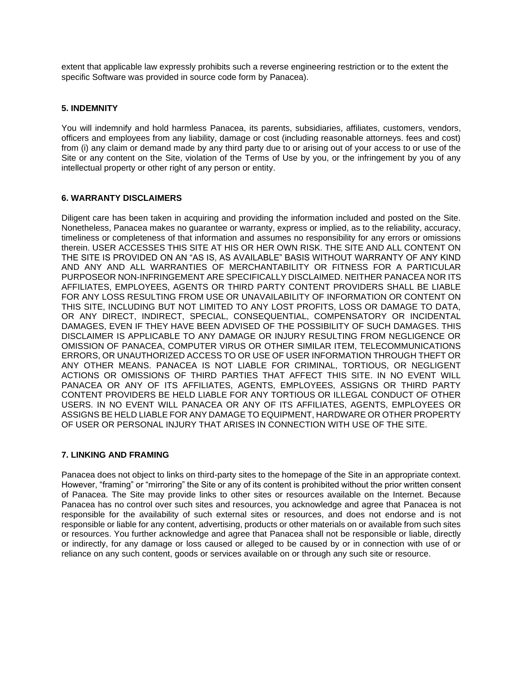extent that applicable law expressly prohibits such a reverse engineering restriction or to the extent the specific Software was provided in source code form by Panacea).

# **5. INDEMNITY**

You will indemnify and hold harmless Panacea, its parents, subsidiaries, affiliates, customers, vendors, officers and employees from any liability, damage or cost (including reasonable attorneys. fees and cost) from (i) any claim or demand made by any third party due to or arising out of your access to or use of the Site or any content on the Site, violation of the Terms of Use by you, or the infringement by you of any intellectual property or other right of any person or entity.

# **6. WARRANTY DISCLAIMERS**

Diligent care has been taken in acquiring and providing the information included and posted on the Site. Nonetheless, Panacea makes no guarantee or warranty, express or implied, as to the reliability, accuracy, timeliness or completeness of that information and assumes no responsibility for any errors or omissions therein. USER ACCESSES THIS SITE AT HIS OR HER OWN RISK. THE SITE AND ALL CONTENT ON THE SITE IS PROVIDED ON AN "AS IS, AS AVAILABLE" BASIS WITHOUT WARRANTY OF ANY KIND AND ANY AND ALL WARRANTIES OF MERCHANTABILITY OR FITNESS FOR A PARTICULAR PURPOSEOR NON-INFRINGEMENT ARE SPECIFICALLY DISCLAIMED. NEITHER PANACEA NOR ITS AFFILIATES, EMPLOYEES, AGENTS OR THIRD PARTY CONTENT PROVIDERS SHALL BE LIABLE FOR ANY LOSS RESULTING FROM USE OR UNAVAILABILITY OF INFORMATION OR CONTENT ON THIS SITE, INCLUDING BUT NOT LIMITED TO ANY LOST PROFITS, LOSS OR DAMAGE TO DATA, OR ANY DIRECT, INDIRECT, SPECIAL, CONSEQUENTIAL, COMPENSATORY OR INCIDENTAL DAMAGES, EVEN IF THEY HAVE BEEN ADVISED OF THE POSSIBILITY OF SUCH DAMAGES. THIS DISCLAIMER IS APPLICABLE TO ANY DAMAGE OR INJURY RESULTING FROM NEGLIGENCE OR OMISSION OF PANACEA, COMPUTER VIRUS OR OTHER SIMILAR ITEM, TELECOMMUNICATIONS ERRORS, OR UNAUTHORIZED ACCESS TO OR USE OF USER INFORMATION THROUGH THEFT OR ANY OTHER MEANS. PANACEA IS NOT LIABLE FOR CRIMINAL, TORTIOUS, OR NEGLIGENT ACTIONS OR OMISSIONS OF THIRD PARTIES THAT AFFECT THIS SITE. IN NO EVENT WILL PANACEA OR ANY OF ITS AFFILIATES, AGENTS, EMPLOYEES, ASSIGNS OR THIRD PARTY CONTENT PROVIDERS BE HELD LIABLE FOR ANY TORTIOUS OR ILLEGAL CONDUCT OF OTHER USERS. IN NO EVENT WILL PANACEA OR ANY OF ITS AFFILIATES, AGENTS, EMPLOYEES OR ASSIGNS BE HELD LIABLE FOR ANY DAMAGE TO EQUIPMENT, HARDWARE OR OTHER PROPERTY OF USER OR PERSONAL INJURY THAT ARISES IN CONNECTION WITH USE OF THE SITE.

### **7. LINKING AND FRAMING**

Panacea does not object to links on third-party sites to the homepage of the Site in an appropriate context. However, "framing" or "mirroring" the Site or any of its content is prohibited without the prior written consent of Panacea. The Site may provide links to other sites or resources available on the Internet. Because Panacea has no control over such sites and resources, you acknowledge and agree that Panacea is not responsible for the availability of such external sites or resources, and does not endorse and is not responsible or liable for any content, advertising, products or other materials on or available from such sites or resources. You further acknowledge and agree that Panacea shall not be responsible or liable, directly or indirectly, for any damage or loss caused or alleged to be caused by or in connection with use of or reliance on any such content, goods or services available on or through any such site or resource.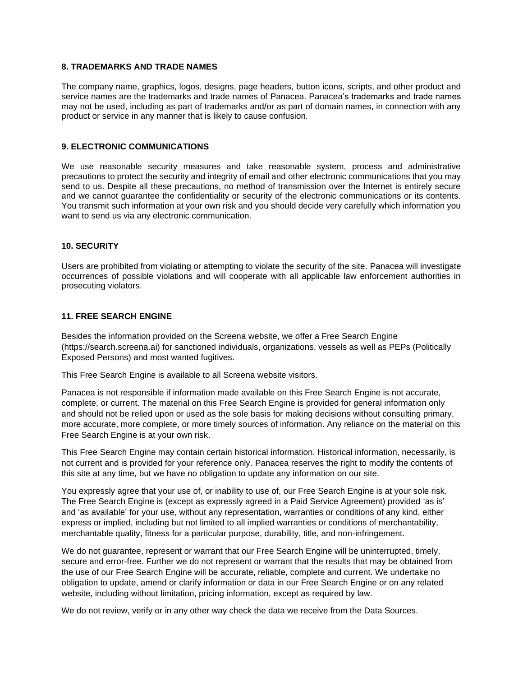## **8. TRADEMARKS AND TRADE NAMES**

The company name, graphics, logos, designs, page headers, button icons, scripts, and other product and service names are the trademarks and trade names of Panacea. Panacea's trademarks and trade names may not be used, including as part of trademarks and/or as part of domain names, in connection with any product or service in any manner that is likely to cause confusion.

# **9. ELECTRONIC COMMUNICATIONS**

We use reasonable security measures and take reasonable system, process and administrative precautions to protect the security and integrity of email and other electronic communications that you may send to us. Despite all these precautions, no method of transmission over the Internet is entirely secure and we cannot guarantee the confidentiality or security of the electronic communications or its contents. You transmit such information at your own risk and you should decide very carefully which information you want to send us via any electronic communication.

#### **10. SECURITY**

Users are prohibited from violating or attempting to violate the security of the site. Panacea will investigate occurrences of possible violations and will cooperate with all applicable law enforcement authorities in prosecuting violators.

#### **11. FREE SEARCH ENGINE**

Besides the information provided on the Screena website, we offer a Free Search Engine (https://search.screena.ai) for sanctioned individuals, organizations, vessels as well as PEPs (Politically Exposed Persons) and most wanted fugitives.

This Free Search Engine is available to all Screena website visitors.

Panacea is not responsible if information made available on this Free Search Engine is not accurate, complete, or current. The material on this Free Search Engine is provided for general information only and should not be relied upon or used as the sole basis for making decisions without consulting primary, more accurate, more complete, or more timely sources of information. Any reliance on the material on this Free Search Engine is at your own risk.

This Free Search Engine may contain certain historical information. Historical information, necessarily, is not current and is provided for your reference only. Panacea reserves the right to modify the contents of this site at any time, but we have no obligation to update any information on our site.

You expressly agree that your use of, or inability to use of, our Free Search Engine is at your sole risk. The Free Search Engine is (except as expressly agreed in a Paid Service Agreement) provided 'as is' and 'as available' for your use, without any representation, warranties or conditions of any kind, either express or implied, including but not limited to all implied warranties or conditions of merchantability, merchantable quality, fitness for a particular purpose, durability, title, and non-infringement.

We do not guarantee, represent or warrant that our Free Search Engine will be uninterrupted, timely, secure and error-free. Further we do not represent or warrant that the results that may be obtained from the use of our Free Search Engine will be accurate, reliable, complete and current. We undertake no obligation to update, amend or clarify information or data in our Free Search Engine or on any related website, including without limitation, pricing information, except as required by law.

We do not review, verify or in any other way check the data we receive from the Data Sources.